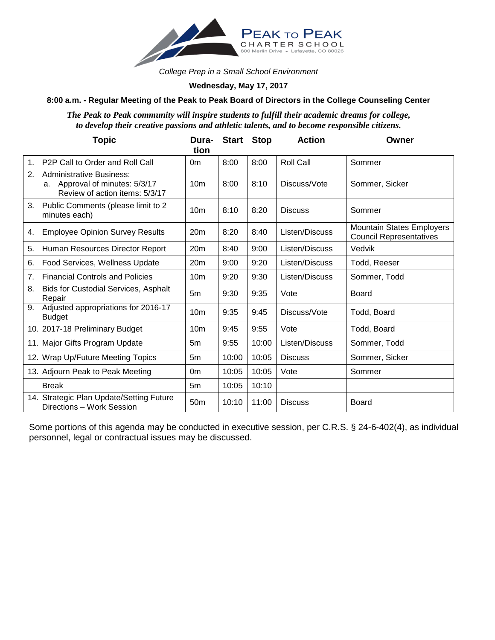

*College Prep in a Small School Environment*

## **Wednesday, May 17, 2017**

## **8:00 a.m. - Regular Meeting of the Peak to Peak Board of Directors in the College Counseling Center**

*The Peak to Peak community will inspire students to fulfill their academic dreams for college, to develop their creative passions and athletic talents, and to become responsible citizens.*

|                | <b>Topic</b>                                                                                           | Dura-<br>tion   | <b>Start</b> | <b>Stop</b> | <b>Action</b>  | Owner                                                              |
|----------------|--------------------------------------------------------------------------------------------------------|-----------------|--------------|-------------|----------------|--------------------------------------------------------------------|
| 1 <sub>1</sub> | P <sub>2</sub> P Call to Order and Roll Call                                                           | 0 <sub>m</sub>  | 8:00         | 8:00        | Roll Call      | Sommer                                                             |
| 2.             | <b>Administrative Business:</b><br>Approval of minutes: 5/3/17<br>a.<br>Review of action items: 5/3/17 | 10 <sub>m</sub> | 8:00         | 8:10        | Discuss/Vote   | Sommer, Sicker                                                     |
| 3.             | Public Comments (please limit to 2<br>minutes each)                                                    | 10 <sub>m</sub> | 8:10         | 8:20        | <b>Discuss</b> | Sommer                                                             |
| 4.             | <b>Employee Opinion Survey Results</b>                                                                 | 20 <sub>m</sub> | 8:20         | 8:40        | Listen/Discuss | <b>Mountain States Employers</b><br><b>Council Representatives</b> |
| 5.             | Human Resources Director Report                                                                        | 20 <sub>m</sub> | 8:40         | 9:00        | Listen/Discuss | Vedvik                                                             |
| 6.             | Food Services, Wellness Update                                                                         | 20 <sub>m</sub> | 9:00         | 9:20        | Listen/Discuss | Todd, Reeser                                                       |
| 7.             | <b>Financial Controls and Policies</b>                                                                 | 10 <sub>m</sub> | 9:20         | 9:30        | Listen/Discuss | Sommer, Todd                                                       |
| 8.             | Bids for Custodial Services, Asphalt<br>Repair                                                         | 5m              | 9:30         | 9:35        | Vote           | Board                                                              |
| 9.             | Adjusted appropriations for 2016-17<br><b>Budget</b>                                                   | 10 <sub>m</sub> | 9:35         | 9:45        | Discuss/Vote   | Todd, Board                                                        |
|                | 10. 2017-18 Preliminary Budget                                                                         | 10 <sub>m</sub> | 9:45         | 9:55        | Vote           | Todd, Board                                                        |
|                | 11. Major Gifts Program Update                                                                         | 5m              | 9:55         | 10:00       | Listen/Discuss | Sommer, Todd                                                       |
|                | 12. Wrap Up/Future Meeting Topics                                                                      | 5 <sub>m</sub>  | 10:00        | 10:05       | <b>Discuss</b> | Sommer, Sicker                                                     |
|                | 13. Adjourn Peak to Peak Meeting                                                                       | 0m              | 10:05        | 10:05       | Vote           | Sommer                                                             |
|                | <b>Break</b>                                                                                           | 5m              | 10:05        | 10:10       |                |                                                                    |
|                | 14. Strategic Plan Update/Setting Future<br>Directions - Work Session                                  | 50 <sub>m</sub> | 10:10        | 11:00       | <b>Discuss</b> | Board                                                              |

Some portions of this agenda may be conducted in executive session, per C.R.S. § 24-6-402(4), as individual personnel, legal or contractual issues may be discussed.